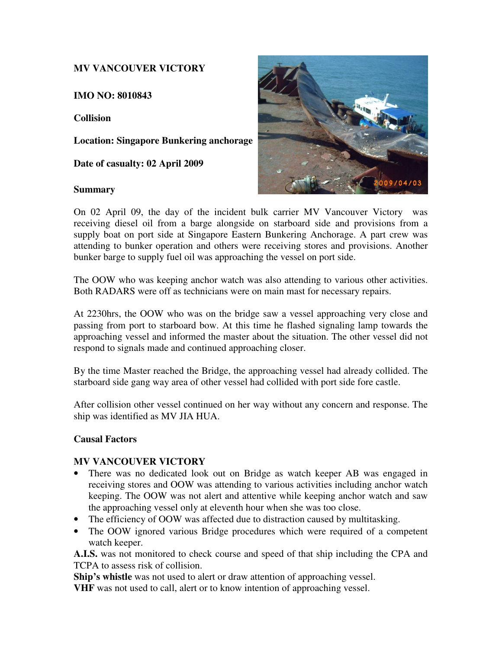### **MV VANCOUVER VICTORY**

**IMO NO: 8010843** 

**Collision** 

**Location: Singapore Bunkering anchorage** 

**Date of casualty: 02 April 2009** 

#### **Summary**



On 02 April 09, the day of the incident bulk carrier MV Vancouver Victory was receiving diesel oil from a barge alongside on starboard side and provisions from a supply boat on port side at Singapore Eastern Bunkering Anchorage. A part crew was attending to bunker operation and others were receiving stores and provisions. Another bunker barge to supply fuel oil was approaching the vessel on port side.

The OOW who was keeping anchor watch was also attending to various other activities. Both RADARS were off as technicians were on main mast for necessary repairs.

At 2230hrs, the OOW who was on the bridge saw a vessel approaching very close and passing from port to starboard bow. At this time he flashed signaling lamp towards the approaching vessel and informed the master about the situation. The other vessel did not respond to signals made and continued approaching closer.

By the time Master reached the Bridge, the approaching vessel had already collided. The starboard side gang way area of other vessel had collided with port side fore castle.

After collision other vessel continued on her way without any concern and response. The ship was identified as MV JIA HUA.

#### **Causal Factors**

#### **MV VANCOUVER VICTORY**

- There was no dedicated look out on Bridge as watch keeper AB was engaged in receiving stores and OOW was attending to various activities including anchor watch keeping. The OOW was not alert and attentive while keeping anchor watch and saw the approaching vessel only at eleventh hour when she was too close.
- The efficiency of OOW was affected due to distraction caused by multitasking.
- The OOW ignored various Bridge procedures which were required of a competent watch keeper.

**A.I.S.** was not monitored to check course and speed of that ship including the CPA and TCPA to assess risk of collision.

**Ship's whistle** was not used to alert or draw attention of approaching vessel.

**VHF** was not used to call, alert or to know intention of approaching vessel.